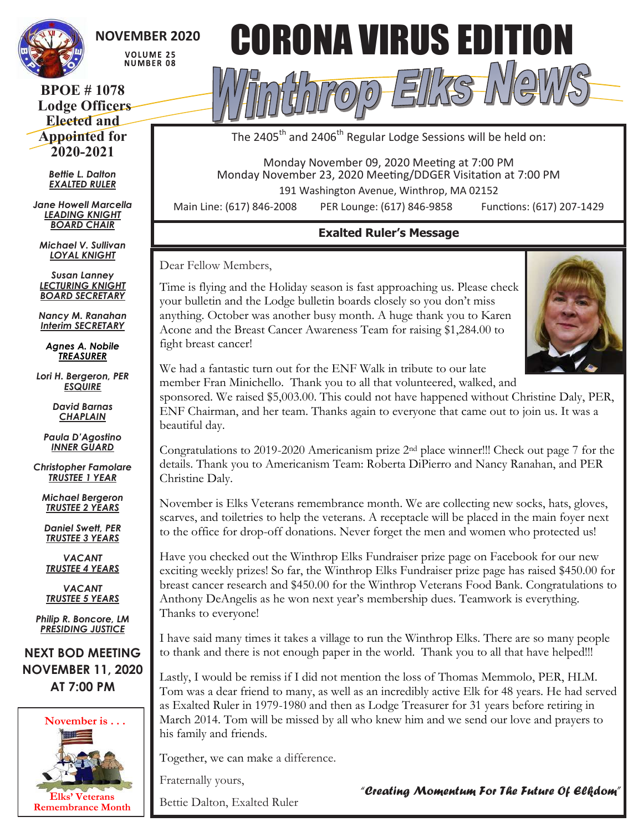

# **NOVEMBER 2020**

VOLUME 25 **NUMBER 08** 

## **BPOE # 1078 Lodge Officers Elected and Appointed for 2020-2021**

*Bettie L. Dalton EXALTED RULER*

*Jane Howell Marcella LEADING KNIGHT BOARD CHAIR*

*Michael V. Sullivan LOYAL KNIGHT*

*Susan Lanney LECTURING KNIGHT BOARD SECRETARY*

*Nancy M. Ranahan Interim SECRETARY*

*Agnes A. Nobile TREASURER*

*Lori H. Bergeron, PER ESQUIRE*

> *David Barnas CHAPLAIN*

*Paula D'Agostino INNER GUARD*

*Christopher Famolare TRUSTEE 1 YEAR*

*Michael Bergeron TRUSTEE 2 YEARS*

*Daniel Swett, PER TRUSTEE 3 YEARS*

*VACANT TRUSTEE 4 YEARS*

*VACANT TRUSTEE 5 YEARS*

*Philip R. Boncore, LM PRESIDING JUSTICE*

**NEXT BOD MEETING NOVEMBER 11, 2020 AT 7:00 PM**





The 2405<sup>th</sup> and 2406<sup>th</sup> Regular Lodge Sessions will be held on:

Monday November 09, 2020 Meeting at 7:00 PM Monday November 23, 2020 Meeting/DDGER Visitation at 7:00 PM

191 Washington Avenue, Winthrop, MA 02152

Main Line: (617) 846-2008 PER Lounge: (617) 846-9858 Functions: (617) 207-1429

## **Exalted Ruler's Message**

Dear Fellow Members,

Time is flying and the Holiday season is fast approaching us. Please check your bulletin and the Lodge bulletin boards closely so you don't miss anything. October was another busy month. A huge thank you to Karen Acone and the Breast Cancer Awareness Team for raising \$1,284.00 to fight breast cancer!



We had a fantastic turn out for the ENF Walk in tribute to our late member Fran Minichello. Thank you to all that volunteered, walked, and

sponsored. We raised \$5,003.00. This could not have happened without Christine Daly, PER, ENF Chairman, and her team. Thanks again to everyone that came out to join us. It was a beautiful day.

Congratulations to 2019-2020 Americanism prize 2nd place winner!!! Check out page 7 for the details. Thank you to Americanism Team: Roberta DiPierro and Nancy Ranahan, and PER Christine Daly.

November is Elks Veterans remembrance month. We are collecting new socks, hats, gloves, scarves, and toiletries to help the veterans. A receptacle will be placed in the main foyer next to the office for drop-off donations. Never forget the men and women who protected us!

Have you checked out the Winthrop Elks Fundraiser prize page on Facebook for our new exciting weekly prizes! So far, the Winthrop Elks Fundraiser prize page has raised \$450.00 for breast cancer research and \$450.00 for the Winthrop Veterans Food Bank. Congratulations to Anthony DeAngelis as he won next year's membership dues. Teamwork is everything. Thanks to everyone!

I have said many times it takes a village to run the Winthrop Elks. There are so many people to thank and there is not enough paper in the world. Thank you to all that have helped!!!

Lastly, I would be remiss if I did not mention the loss of Thomas Memmolo, PER, HLM. Tom was a dear friend to many, as well as an incredibly active Elk for 48 years. He had served as Exalted Ruler in 1979-1980 and then as Lodge Treasurer for 31 years before retiring in March 2014. Tom will be missed by all who knew him and we send our love and prayers to his family and friends.

Together, we can make a difference.

Fraternally yours,

Bettie Dalton, Exalted Ruler

*"Creating Momentum For The Future Of Elkdom"*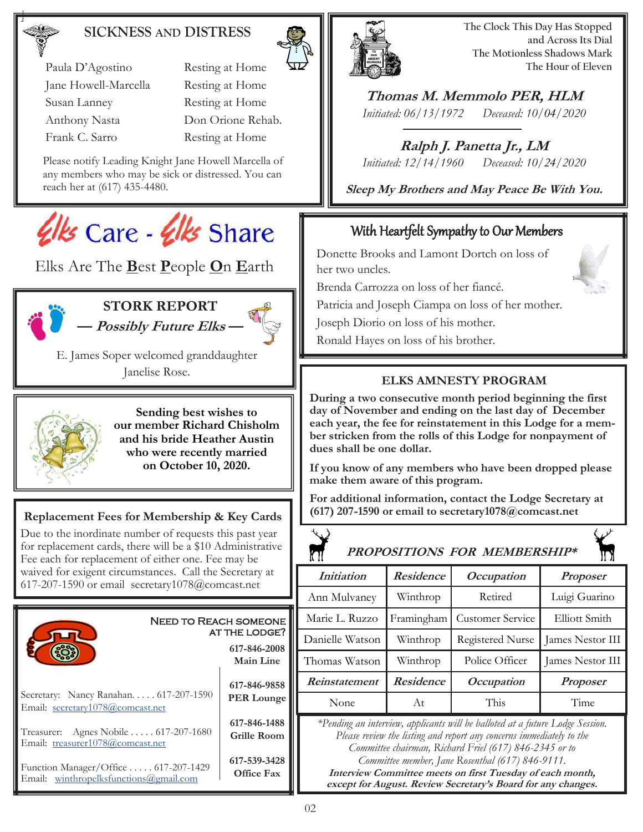## **SICKNESS AND DISTRESS**



**The Clock This Day Has Stopped and Across Its Dial The Motionless Shadows Mark The Hour of Eleven**

**Thomas M. Memmolo PER, HLM** *Initiated: 06/13/1972 Deceased: 10/04/2020*

**Ralph J. Panetta Jr., LM** *Initiated: 12/14/1960 Deceased: 10/24/2020*

**Sleep My Brothers and May Peace Be With You.**

## With Heartfelt Sympathy to Our Members

Donette Brooks and Lamont Dortch on loss of her two uncles.

Brenda Carrozza on loss of her fiancé.

Patricia and Joseph Ciampa on loss of her mother.

Joseph Diorio on loss of his mother.

Ronald Hayes on loss of his brother.

## **ELKS AMNESTY PROGRAM**

**During a two consecutive month period beginning the first day of November and ending on the last day of December each year, the fee for reinstatement in this Lodge for a member stricken from the rolls of this Lodge for nonpayment of dues shall be one dollar.** 

**If you know of any members who have been dropped please make them aware of this program.** 

**For additional information, contact the Lodge Secretary at (617) 207-1590 or email to secretary1078@comcast.net**

| PROPOSITIONS FOR MEMBERSHIP*                                                                                                                                                                                                                                                                                                                                                                     |            |                         |                  |  |  |
|--------------------------------------------------------------------------------------------------------------------------------------------------------------------------------------------------------------------------------------------------------------------------------------------------------------------------------------------------------------------------------------------------|------------|-------------------------|------------------|--|--|
| <i>Initiation</i>                                                                                                                                                                                                                                                                                                                                                                                | Residence  | Occupation              | <b>Proposer</b>  |  |  |
| Ann Mulvaney                                                                                                                                                                                                                                                                                                                                                                                     | Winthrop   | Retired                 | Luigi Guarino    |  |  |
| Marie L. Ruzzo                                                                                                                                                                                                                                                                                                                                                                                   | Framingham | Customer Service        | Elliott Smith    |  |  |
| Danielle Watson                                                                                                                                                                                                                                                                                                                                                                                  | Winthrop   | <b>Registered Nurse</b> | James Nestor III |  |  |
| Thomas Watson                                                                                                                                                                                                                                                                                                                                                                                    | Winthrop   | Police Officer          | James Nestor III |  |  |
| Reinstatement                                                                                                                                                                                                                                                                                                                                                                                    | Residence  | <i>Occupation</i>       | <b>Proposer</b>  |  |  |
| None                                                                                                                                                                                                                                                                                                                                                                                             | At         | This                    | Time             |  |  |
| *Pending an interview, applicants will be balloted at a future Lodge Session.<br>Please review the listing and report any concerns immediately to the<br>Committee chairman, Richard Friel (617) 846-2345 or to<br>Committee member, Jane Rosenthal (617) 846-9111.<br>Interview Committee meets on first Tuesday of each month,<br>except for August. Review Secretary's Board for any changes. |            |                         |                  |  |  |

Paula D'Agostino Resting at Home Jane Howell-Marcella Resting at Home Susan Lanney Resting at Home Anthony Nasta Don Orione Rehab.

Frank C. Sarro Resting at Home

Please notify Leading Knight Jane Howell Marcella of any members who may be sick or distressed. You can reach her at (617) 435-4480.



Elks Are The **B**est **P**eople **O**n **E**arth



**STORK REPORT — Possibly Future Elks —**

E. James Soper welcomed granddaughter Janelise Rose.



**Sending best wishes to our member Richard Chisholm and his bride Heather Austin who were recently married on October 10, 2020.**

## **Replacement Fees for Membership & Key Cards**

Due to the inordinate number of requests this past year for replacement cards, there will be a \$10 Administrative Fee each for replacement of either one. Fee may be waived for exigent circumstances. Call the Secretary at 617-207-1590 or email secretary1078@comcast.net

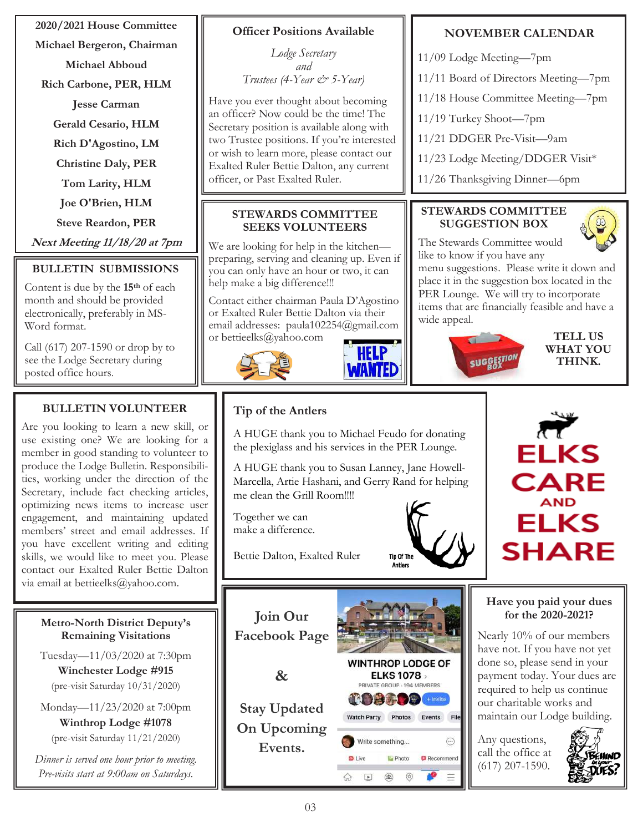**2020/2021 House Committee**

**Michael Bergeron, Chairman**

**Michael Abboud**

**Rich Carbone, PER, HLM**

**Jesse Carman**

**Gerald Cesario, HLM**

**Rich D'Agostino, LM**

**Christine Daly, PER**

**Tom Larity, HLM**

**Joe O'Brien, HLM**

**Steve Reardon, PER**

**Next Meeting 11/18/20 at 7pm**

## **BULLETIN SUBMISSIONS**

Content is due by the **15th** of each month and should be provided electronically, preferably in MS-Word format.

Call (617) 207-1590 or drop by to see the Lodge Secretary during posted office hours.

## **BULLETIN VOLUNTEER**

Are you looking to learn a new skill, or use existing one? We are looking for a member in good standing to volunteer to produce the Lodge Bulletin. Responsibilities, working under the direction of the Secretary, include fact checking articles, optimizing news items to increase user engagement, and maintaining updated members' street and email addresses. If you have excellent writing and editing skills, we would like to meet you. Please contact our Exalted Ruler Bettie Dalton via email at bettieelks@yahoo.com.

#### **Metro-North District Deputy's Remaining Visitations**

Tuesday—11/03/2020 at 7:30pm

**Winchester Lodge #915**  (pre-visit Saturday 10/31/2020)

Monday—11/23/2020 at 7:00pm **Winthrop Lodge #1078** 

(pre-visit Saturday 11/21/2020)

*Dinner is served one hour prior to meeting. Pre-visits start at 9:00am on Saturdays.*

## **Officer Positions Available**

*Lodge Secretary and Trustees (4-Year*  $\breve{c}$  *5-Year)* 

Have you ever thought about becoming an officer? Now could be the time! The Secretary position is available along with two Trustee positions. If you're interested or wish to learn more, please contact our Exalted Ruler Bettie Dalton, any current officer, or Past Exalted Ruler.

#### **STEWARDS COMMITTEE SEEKS VOLUNTEERS**

We are looking for help in the kitchen preparing, serving and cleaning up. Even if you can only have an hour or two, it can help make a big difference!!!

Contact either chairman Paula D'Agostino or Exalted Ruler Bettie Dalton via their email addresses: paula102254@gmail.com or bettieelks@yahoo.com



# 7 A TEL

# **Tip of the Antlers**

A HUGE thank you to Michael Feudo for donating the plexiglass and his services in the PER Lounge.

A HUGE thank you to Susan Lanney, Jane Howell-Marcella, Artie Hashani, and Gerry Rand for helping me clean the Grill Room!!!!

Together we can make a difference.

Bettie Dalton, Exalted Ruler

**Join Our Facebook Page**

**&**

**Stay Updated On Upcoming Events.**



**ID** Photo

Recommend

**Tip Of The Antiers** 

## **NOVEMBER CALENDAR**

- 11/09 Lodge Meeting—7pm
- 11/11 Board of Directors Meeting—7pm
- 11/18 House Committee Meeting—7pm
- 11/19 Turkey Shoot—7pm
- 11/21 DDGER Pre-Visit—9am
- 11/23 Lodge Meeting/DDGER Visit\*
- 11/26 Thanksgiving Dinner—6pm

## **STEWARDS COMMITTEE SUGGESTION BOX**



The Stewards Committee would like to know if you have any

menu suggestions. Please write it down and place it in the suggestion box located in the PER Lounge. We will try to incorporate items that are financially feasible and have a wide appeal.



**TELL US WHAT YOU THINK.**



## **Have you paid your dues for the 2020-2021?**

Nearly 10% of our members have not. If you have not yet done so, please send in your payment today. Your dues are required to help us continue our charitable works and maintain our Lodge building.

Any questions, call the office at (617) 207-1590.



**D**i Live

ଳ

 $\boxed{\blacktriangleright}$  $\binom{2}{1}$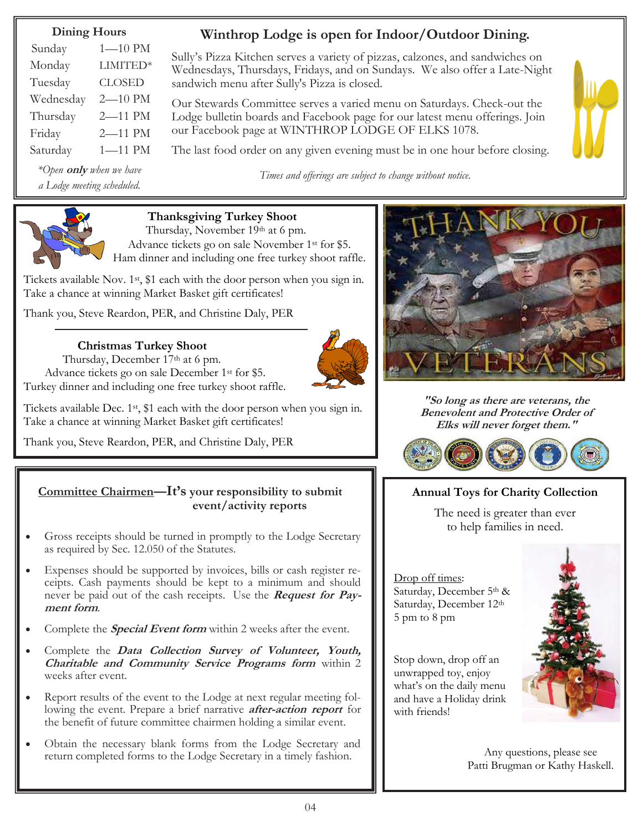## **Dining Hours**

| Sunday    | $1 - 10$ PM   |
|-----------|---------------|
| Monday    | LIMITED*      |
| Tuesday   | <b>CLOSED</b> |
| Wednesday | 2-10 PM       |
| Thursday  | 2-11 PM       |
| Friday    | 2-11 PM       |
| Saturday  | $1 - 11$ PM   |

*\*Open* **only** *when we have a Lodge meeting scheduled.*

# **Winthrop Lodge is open for Indoor/Outdoor Dining.**

Sully's Pizza Kitchen serves a variety of pizzas, calzones, and sandwiches on Wednesdays, Thursdays, Fridays, and on Sundays. We also offer a Late-Night sandwich menu after Sully's Pizza is closed.

Our Stewards Committee serves a varied menu on Saturdays. Check-out the Lodge bulletin boards and Facebook page for our latest menu offerings. Join our Facebook page at WINTHROP LODGE OF ELKS 1078.

The last food order on any given evening must be in one hour before closing.

*Times and offerings are subject to change without notice.*





## **Thanksgiving Turkey Shoot**

Thursday, November 19th at 6 pm. Advance tickets go on sale November 1st for \$5. Ham dinner and including one free turkey shoot raffle.

Tickets available Nov. 1st, \$1 each with the door person when you sign in. Take a chance at winning Market Basket gift certificates!

Thank you, Steve Reardon, PER, and Christine Daly, PER

## **Christmas Turkey Shoot**

Thursday, December 17th at 6 pm. Advance tickets go on sale December 1<sup>st</sup> for \$5. Turkey dinner and including one free turkey shoot raffle.

Tickets available Dec. 1st, \$1 each with the door person when you sign in. Take a chance at winning Market Basket gift certificates!

Thank you, Steve Reardon, PER, and Christine Daly, PER

#### **Committee Chairmen—It's your responsibility to submit event/activity reports**

- Gross receipts should be turned in promptly to the Lodge Secretary as required by Sec. 12.050 of the Statutes.
- Expenses should be supported by invoices, bills or cash register receipts. Cash payments should be kept to a minimum and should never be paid out of the cash receipts. Use the **Request for Payment form**.
- Complete the **Special Event form** within 2 weeks after the event.
- Complete the **Data Collection Survey of Volunteer, Youth, Charitable and Community Service Programs form** within 2 weeks after event.
- Report results of the event to the Lodge at next regular meeting following the event. Prepare a brief narrative **after-action report** for the benefit of future committee chairmen holding a similar event.
- Obtain the necessary blank forms from the Lodge Secretary and return completed forms to the Lodge Secretary in a timely fashion.



**"So long as there are veterans, the Benevolent and Protective Order of Elks will never forget them."**



## **Annual Toys for Charity Collection**

The need is greater than ever to help families in need.

Drop off times: Saturday, December 5th & Saturday, December 12th 5 pm to 8 pm

Stop down, drop off an unwrapped toy, enjoy what's on the daily menu and have a Holiday drink with friends!



Any questions, please see Patti Brugman or Kathy Haskell.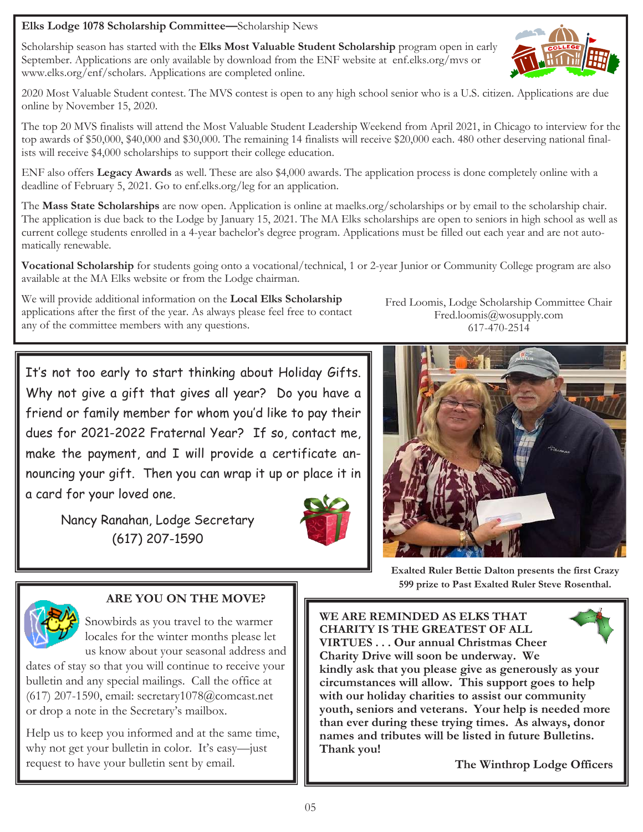## **Elks Lodge 1078 Scholarship Committee—**Scholarship News

Scholarship season has started with the **Elks Most Valuable Student Scholarship** program open in early September. Applications are only available by download from the ENF website at enf.elks.org/mvs or www.elks.org/enf/scholars. Applications are completed online.



The top 20 MVS finalists will attend the Most Valuable Student Leadership Weekend from April 2021, in Chicago to interview for the top awards of \$50,000, \$40,000 and \$30,000. The remaining 14 finalists will receive \$20,000 each. 480 other deserving national finalists will receive \$4,000 scholarships to support their college education.

ENF also offers **Legacy Awards** as well. These are also \$4,000 awards. The application process is done completely online with a deadline of February 5, 2021. Go to enf.elks.org/leg for an application.

The **Mass State Scholarships** are now open. Application is online at maelks.org/scholarships or by email to the scholarship chair. The application is due back to the Lodge by January 15, 2021. The MA Elks scholarships are open to seniors in high school as well as current college students enrolled in a 4-year bachelor's degree program. Applications must be filled out each year and are not automatically renewable.

**Vocational Scholarship** for students going onto a vocational/technical, 1 or 2-year Junior or Community College program are also available at the MA Elks website or from the Lodge chairman.

We will provide additional information on the **Local Elks Scholarship** applications after the first of the year. As always please feel free to contact any of the committee members with any questions.

Fred Loomis, Lodge Scholarship Committee Chair Fred.loomis@wosupply.com 617-470-2514

It's not too early to start thinking about Holiday Gifts. Why not give a gift that gives all year? Do you have a friend or family member for whom you'd like to pay their dues for 2021-2022 Fraternal Year? If so, contact me, make the payment, and I will provide a certificate announcing your gift. Then you can wrap it up or place it in a card for your loved one.

Nancy Ranahan, Lodge Secretary (617) 207-1590





**Exalted Ruler Bettie Dalton presents the first Crazy 599 prize to Past Exalted Ruler Steve Rosenthal.**



#### **ARE YOU ON THE MOVE?**

Snowbirds as you travel to the warmer locales for the winter months please let us know about your seasonal address and

dates of stay so that you will continue to receive your bulletin and any special mailings. Call the office at (617) 207-1590, email: secretary1078@comcast.net or drop a note in the Secretary's mailbox.

Help us to keep you informed and at the same time, why not get your bulletin in color. It's easy—just request to have your bulletin sent by email.

**WE ARE REMINDED AS ELKS THAT CHARITY IS THE GREATEST OF ALL VIRTUES . . . Our annual Christmas Cheer Charity Drive will soon be underway. We kindly ask that you please give as generously as your circumstances will allow. This support goes to help with our holiday charities to assist our community youth, seniors and veterans. Your help is needed more than ever during these trying times. As always, donor names and tributes will be listed in future Bulletins. Thank you!**

**The Winthrop Lodge Officers**

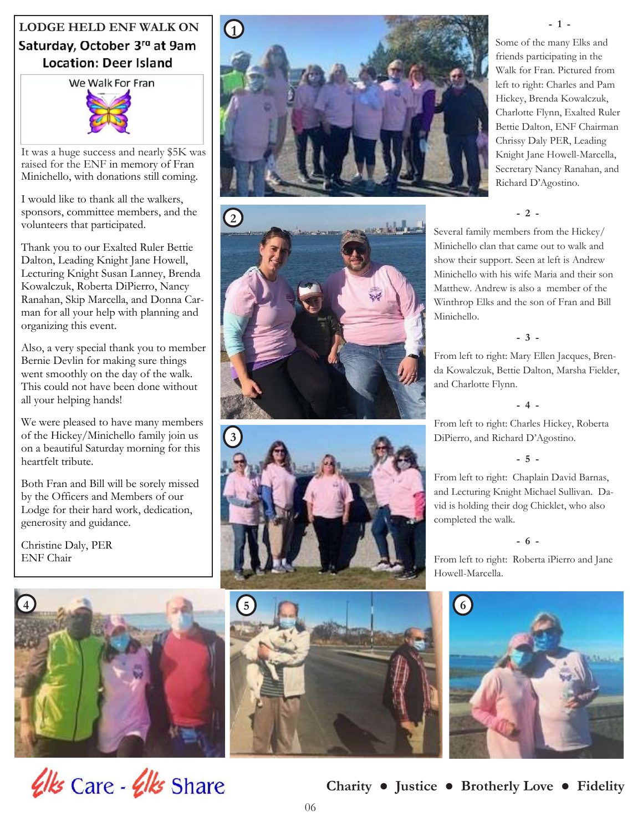# **LODGE HELD ENF WALK ON** Saturday, October 3<sup>ra</sup> at 9am **Location: Deer Island**

We Walk For Fran

It was a huge success and nearly \$5K was raised for the ENF in memory of Fran Minichello, with donations still coming.

I would like to thank all the walkers, sponsors, committee members, and the volunteers that participated.

Thank you to our Exalted Ruler Bettie Dalton, Leading Knight Jane Howell, Lecturing Knight Susan Lanney, Brenda Kowalczuk, Roberta DiPierro, Nancy Ranahan, Skip Marcella, and Donna Carman for all your help with planning and organizing this event.

Also, a very special thank you to member Bernie Devlin for making sure things went smoothly on the day of the walk. This could not have been done without all your helping hands!

We were pleased to have many members of the Hickey/Minichello family join us on a beautiful Saturday morning for this heartfelt tribute.

Both Fran and Bill will be sorely missed by the Officers and Members of our Lodge for their hard work, dedication, generosity and guidance.

Christine Daly, PER ENF Chair











Some of the many Elks and friends participating in the Walk for Fran. Pictured from left to right: Charles and Pam Hickey, Brenda Kowalczuk, Charlotte Flynn, Exalted Ruler Bettie Dalton, ENF Chairman Chrissy Daly PER, Leading Knight Jane Howell-Marcella, Secretary Nancy Ranahan, and Richard D'Agostino.

**- 1 -**

#### **- 2 -**

Several family members from the Hickey/ Minichello clan that came out to walk and show their support. Seen at left is Andrew Minichello with his wife Maria and their son Matthew. Andrew is also a member of the Winthrop Elks and the son of Fran and Bill Minichello.

#### **- 3 -**

From left to right: Mary Ellen Jacques, Brenda Kowalczuk, Bettie Dalton, Marsha Fielder, and Charlotte Flynn.

**- 4 -**

From left to right: Charles Hickey, Roberta DiPierro, and Richard D'Agostino.

**- 5 -**

From left to right: Chaplain David Barnas, and Lecturing Knight Michael Sullivan. David is holding their dog Chicklet, who also completed the walk.

#### **- 6 -**

From left to right: Roberta iPierro and Jane Howell-Marcella.

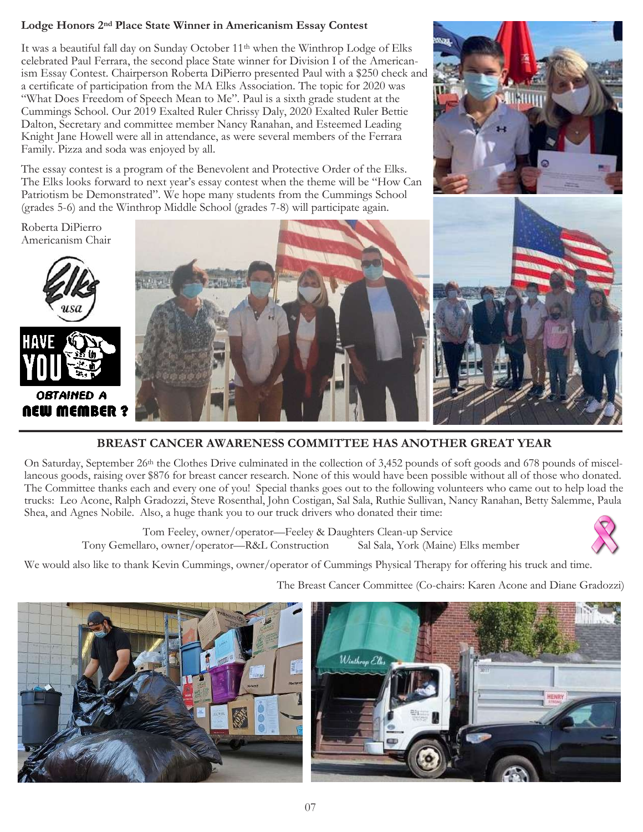#### **Lodge Honors 2nd Place State Winner in Americanism Essay Contest**

It was a beautiful fall day on Sunday October 11<sup>th</sup> when the Winthrop Lodge of Elks celebrated Paul Ferrara, the second place State winner for Division I of the Americanism Essay Contest. Chairperson Roberta DiPierro presented Paul with a \$250 check and a certificate of participation from the MA Elks Association. The topic for 2020 was "What Does Freedom of Speech Mean to Me". Paul is a sixth grade student at the Cummings School. Our 2019 Exalted Ruler Chrissy Daly, 2020 Exalted Ruler Bettie Dalton, Secretary and committee member Nancy Ranahan, and Esteemed Leading Knight Jane Howell were all in attendance, as were several members of the Ferrara Family. Pizza and soda was enjoyed by all.

The essay contest is a program of the Benevolent and Protective Order of the Elks. The Elks looks forward to next year's essay contest when the theme will be "How Can Patriotism be Demonstrated". We hope many students from the Cummings School (grades 5-6) and the Winthrop Middle School (grades 7-8) will participate again.



Roberta DiPierro Americanism Chair



## **BREAST CANCER AWARENESS COMMITTEE HAS ANOTHER GREAT YEAR**

On Saturday, September 26<sup>th</sup> the Clothes Drive culminated in the collection of 3,452 pounds of soft goods and 678 pounds of miscellaneous goods, raising over \$876 for breast cancer research. None of this would have been possible without all of those who donated. The Committee thanks each and every one of you! Special thanks goes out to the following volunteers who came out to help load the trucks: Leo Acone, Ralph Gradozzi, Steve Rosenthal, John Costigan, Sal Sala, Ruthie Sullivan, Nancy Ranahan, Betty Salemme, Paula Shea, and Agnes Nobile. Also, a huge thank you to our truck drivers who donated their time:

 Tom Feeley, owner/operator—Feeley & Daughters Clean-up Service Tony Gemellaro, owner/operator—R&L Construction Sal Sala, York (Maine) Elks member



We would also like to thank Kevin Cummings, owner/operator of Cummings Physical Therapy for offering his truck and time.

The Breast Cancer Committee (Co-chairs: Karen Acone and Diane Gradozzi)